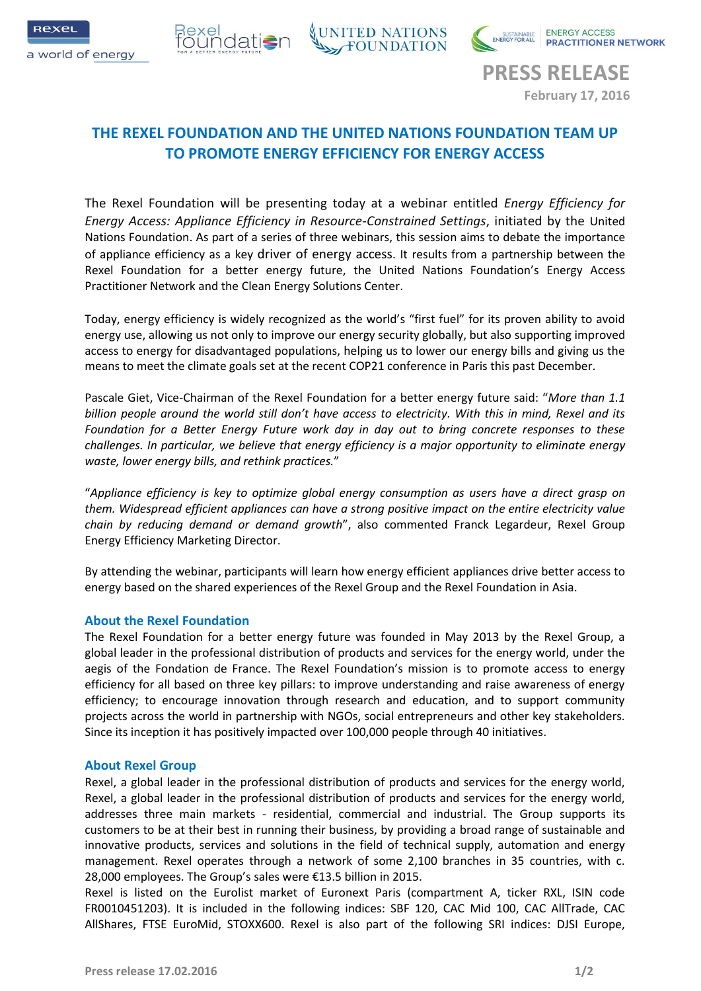



**PRESS RELEASE February 17, 2016**

# **THE REXEL FOUNDATION AND THE UNITED NATIONS FOUNDATION TEAM UP TO PROMOTE ENERGY EFFICIENCY FOR ENERGY ACCESS**

The Rexel Foundation will be presenting today at a webinar entitled *Energy Efficiency for Energy Access: Appliance Efficiency in Resource-Constrained Settings*, initiated by the United Nations Foundation. As part of a series of three webinars, this session aims to debate the importance of appliance efficiency as a key driver of energy access. It results from a partnership between the Rexel Foundation for a better energy future, the United Nations Foundation's Energy Access Practitioner Network and the Clean Energy Solutions Center.

Today, energy efficiency is widely recognized as the world's "first fuel" for its proven ability to avoid energy use, allowing us not only to improve our energy security globally, but also supporting improved access to energy for disadvantaged populations, helping us to lower our energy bills and giving us the means to meet the climate goals set at the recent COP21 conference in Paris this past December.

Pascale Giet, Vice-Chairman of the Rexel Foundation for a better energy future said: "*More than 1.1 billion people around the world still don't have access to electricity. With this in mind, Rexel and its Foundation for a Better Energy Future work day in day out to bring concrete responses to these challenges. In particular, we believe that energy efficiency is a major opportunity to eliminate energy waste, lower energy bills, and rethink practices.*"

"*Appliance efficiency is key to optimize global energy consumption as users have a direct grasp on them. Widespread efficient appliances can have a strong positive impact on the entire electricity value chain by reducing demand or demand growth*", also commented Franck Legardeur, Rexel Group Energy Efficiency Marketing Director.

By attending the webinar, participants will learn how energy efficient appliances drive better access to energy based on the shared experiences of the Rexel Group and the Rexel Foundation in Asia.

## **About the Rexel Foundation**

The Rexel Foundation for a better energy future was founded in May 2013 by the Rexel Group, a global leader in the professional distribution of products and services for the energy world, under the aegis of the Fondation de France. The Rexel Foundation's mission is to promote access to energy efficiency for all based on three key pillars: to improve understanding and raise awareness of energy efficiency; to encourage innovation through research and education, and to support community projects across the world in partnership with NGOs, social entrepreneurs and other key stakeholders. Since its inception it has positively impacted over 100,000 people through 40 initiatives.

### **About Rexel Group**

Rexel, a global leader in the professional distribution of products and services for the energy world, Rexel, a global leader in the professional distribution of products and services for the energy world, addresses three main markets - residential, commercial and industrial. The Group supports its customers to be at their best in running their business, by providing a broad range of sustainable and innovative products, services and solutions in the field of technical supply, automation and energy management. Rexel operates through a network of some 2,100 branches in 35 countries, with c. 28,000 employees. The Group's sales were €13.5 billion in 2015.

Rexel is listed on the Eurolist market of Euronext Paris (compartment A, ticker RXL, ISIN code FR0010451203). It is included in the following indices: SBF 120, CAC Mid 100, CAC AllTrade, CAC AllShares, FTSE EuroMid, STOXX600. Rexel is also part of the following SRI indices: DJSI Europe,